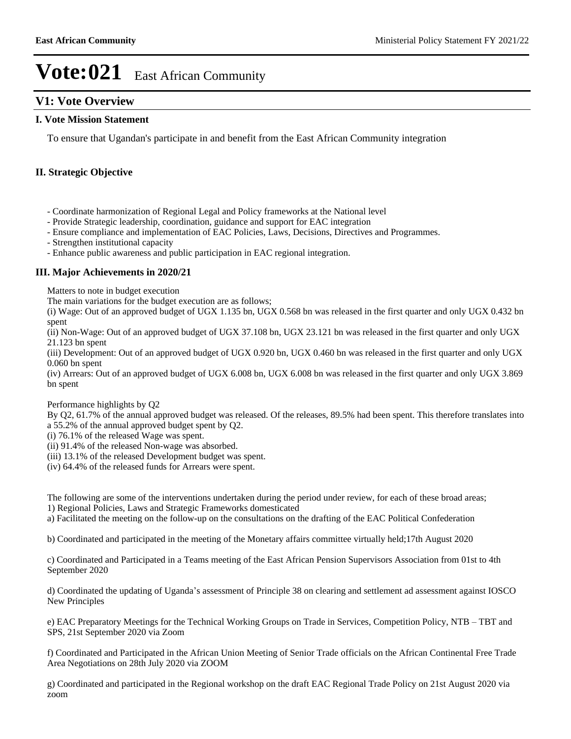## **V1: Vote Overview**

### **I. Vote Mission Statement**

To ensure that Ugandan's participate in and benefit from the East African Community integration

### **II. Strategic Objective**

- Coordinate harmonization of Regional Legal and Policy frameworks at the National level

- Provide Strategic leadership, coordination, guidance and support for EAC integration

- Ensure compliance and implementation of EAC Policies, Laws, Decisions, Directives and Programmes.

- Strengthen institutional capacity

- Enhance public awareness and public participation in EAC regional integration.

### **III. Major Achievements in 2020/21**

Matters to note in budget execution

The main variations for the budget execution are as follows;

(i) Wage: Out of an approved budget of UGX 1.135 bn, UGX 0.568 bn was released in the first quarter and only UGX 0.432 bn spent

(ii) Non-Wage: Out of an approved budget of UGX 37.108 bn, UGX 23.121 bn was released in the first quarter and only UGX 21.123 bn spent

(iii) Development: Out of an approved budget of UGX 0.920 bn, UGX 0.460 bn was released in the first quarter and only UGX 0.060 bn spent

(iv) Arrears: Out of an approved budget of UGX 6.008 bn, UGX 6.008 bn was released in the first quarter and only UGX 3.869 bn spent

#### Performance highlights by Q2

By Q2, 61.7% of the annual approved budget was released. Of the releases, 89.5% had been spent. This therefore translates into a 55.2% of the annual approved budget spent by Q2.

- (i) 76.1% of the released Wage was spent.
- (ii) 91.4% of the released Non-wage was absorbed.
- (iii) 13.1% of the released Development budget was spent.
- (iv) 64.4% of the released funds for Arrears were spent.

The following are some of the interventions undertaken during the period under review, for each of these broad areas; 1) Regional Policies, Laws and Strategic Frameworks domesticated

a) Facilitated the meeting on the follow-up on the consultations on the drafting of the EAC Political Confederation

b) Coordinated and participated in the meeting of the Monetary affairs committee virtually held;17th August 2020

c) Coordinated and Participated in a Teams meeting of the East African Pension Supervisors Association from 01st to 4th September 2020

d) Coordinated the updating of Uganda's assessment of Principle 38 on clearing and settlement ad assessment against IOSCO New Principles

e) EAC Preparatory Meetings for the Technical Working Groups on Trade in Services, Competition Policy, NTB – TBT and SPS, 21st September 2020 via Zoom

f) Coordinated and Participated in the African Union Meeting of Senior Trade officials on the African Continental Free Trade Area Negotiations on 28th July 2020 via ZOOM

g) Coordinated and participated in the Regional workshop on the draft EAC Regional Trade Policy on 21st August 2020 via zoom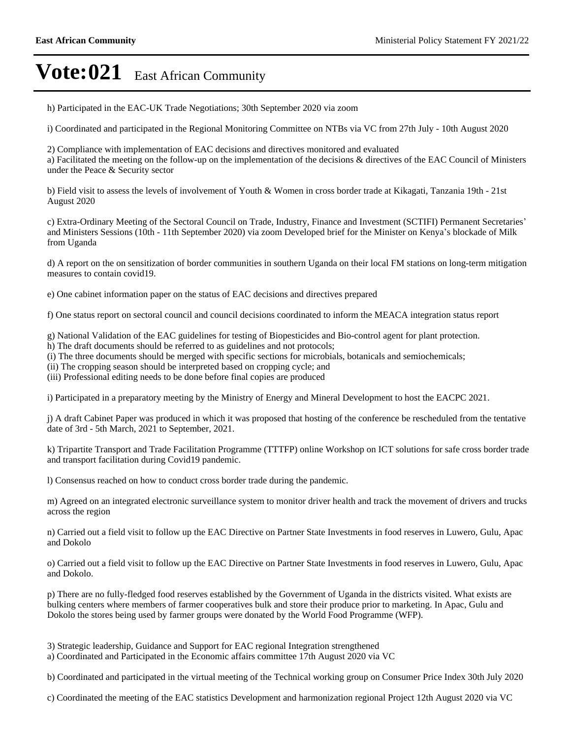h) Participated in the EAC-UK Trade Negotiations; 30th September 2020 via zoom

i) Coordinated and participated in the Regional Monitoring Committee on NTBs via VC from 27th July - 10th August 2020

2) Compliance with implementation of EAC decisions and directives monitored and evaluated a) Facilitated the meeting on the follow-up on the implementation of the decisions & directives of the EAC Council of Ministers under the Peace & Security sector

b) Field visit to assess the levels of involvement of Youth & Women in cross border trade at Kikagati, Tanzania 19th - 21st August 2020

c) Extra-Ordinary Meeting of the Sectoral Council on Trade, Industry, Finance and Investment (SCTIFI) Permanent Secretaries' and Ministers Sessions (10th - 11th September 2020) via zoom Developed brief for the Minister on Kenya's blockade of Milk from Uganda

d) A report on the on sensitization of border communities in southern Uganda on their local FM stations on long-term mitigation measures to contain covid19.

e) One cabinet information paper on the status of EAC decisions and directives prepared

f) One status report on sectoral council and council decisions coordinated to inform the MEACA integration status report

g) National Validation of the EAC guidelines for testing of Biopesticides and Bio-control agent for plant protection.

- h) The draft documents should be referred to as guidelines and not protocols;
- (i) The three documents should be merged with specific sections for microbials, botanicals and semiochemicals;

(ii) The cropping season should be interpreted based on cropping cycle; and

(iii) Professional editing needs to be done before final copies are produced

i) Participated in a preparatory meeting by the Ministry of Energy and Mineral Development to host the EACPC 2021.

j) A draft Cabinet Paper was produced in which it was proposed that hosting of the conference be rescheduled from the tentative date of 3rd - 5th March, 2021 to September, 2021.

k) Tripartite Transport and Trade Facilitation Programme (TTTFP) online Workshop on ICT solutions for safe cross border trade and transport facilitation during Covid19 pandemic.

l) Consensus reached on how to conduct cross border trade during the pandemic.

m) Agreed on an integrated electronic surveillance system to monitor driver health and track the movement of drivers and trucks across the region

n) Carried out a field visit to follow up the EAC Directive on Partner State Investments in food reserves in Luwero, Gulu, Apac and Dokolo

o) Carried out a field visit to follow up the EAC Directive on Partner State Investments in food reserves in Luwero, Gulu, Apac and Dokolo.

p) There are no fully-fledged food reserves established by the Government of Uganda in the districts visited. What exists are bulking centers where members of farmer cooperatives bulk and store their produce prior to marketing. In Apac, Gulu and Dokolo the stores being used by farmer groups were donated by the World Food Programme (WFP).

3) Strategic leadership, Guidance and Support for EAC regional Integration strengthened

a) Coordinated and Participated in the Economic affairs committee 17th August 2020 via VC

b) Coordinated and participated in the virtual meeting of the Technical working group on Consumer Price Index 30th July 2020

c) Coordinated the meeting of the EAC statistics Development and harmonization regional Project 12th August 2020 via VC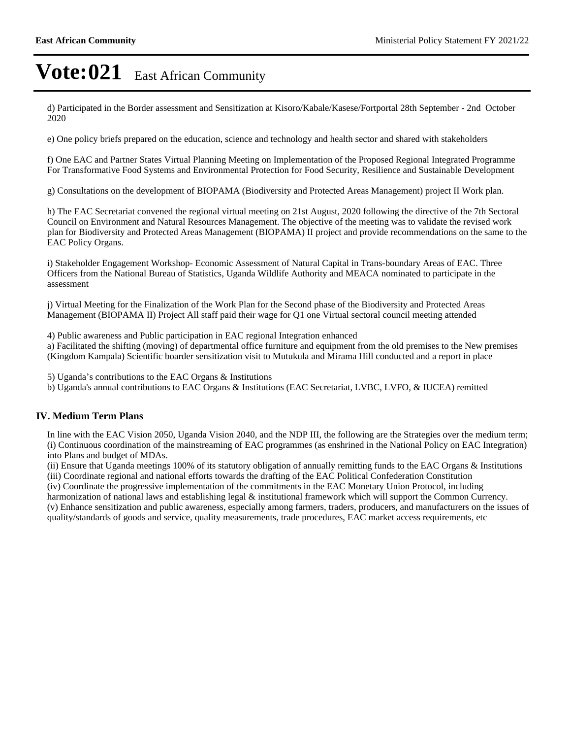d) Participated in the Border assessment and Sensitization at Kisoro/Kabale/Kasese/Fortportal 28th September - 2nd October 2020

e) One policy briefs prepared on the education, science and technology and health sector and shared with stakeholders

f) One EAC and Partner States Virtual Planning Meeting on Implementation of the Proposed Regional Integrated Programme For Transformative Food Systems and Environmental Protection for Food Security, Resilience and Sustainable Development

g) Consultations on the development of BIOPAMA (Biodiversity and Protected Areas Management) project II Work plan.

h) The EAC Secretariat convened the regional virtual meeting on 21st August, 2020 following the directive of the 7th Sectoral Council on Environment and Natural Resources Management. The objective of the meeting was to validate the revised work plan for Biodiversity and Protected Areas Management (BIOPAMA) II project and provide recommendations on the same to the EAC Policy Organs.

i) Stakeholder Engagement Workshop- Economic Assessment of Natural Capital in Trans-boundary Areas of EAC. Three Officers from the National Bureau of Statistics, Uganda Wildlife Authority and MEACA nominated to participate in the assessment

j) Virtual Meeting for the Finalization of the Work Plan for the Second phase of the Biodiversity and Protected Areas Management (BIOPAMA II) Project All staff paid their wage for Q1 one Virtual sectoral council meeting attended

4) Public awareness and Public participation in EAC regional Integration enhanced

a) Facilitated the shifting (moving) of departmental office furniture and equipment from the old premises to the New premises (Kingdom Kampala) Scientific boarder sensitization visit to Mutukula and Mirama Hill conducted and a report in place

5) Uganda's contributions to the EAC Organs  $\&$  Institutions

b) Uganda's annual contributions to EAC Organs & Institutions (EAC Secretariat, LVBC, LVFO, & IUCEA) remitted

### **IV. Medium Term Plans**

In line with the EAC Vision 2050, Uganda Vision 2040, and the NDP III, the following are the Strategies over the medium term; (i) Continuous coordination of the mainstreaming of EAC programmes (as enshrined in the National Policy on EAC Integration) into Plans and budget of MDAs.

(ii) Ensure that Uganda meetings 100% of its statutory obligation of annually remitting funds to the EAC Organs & Institutions (iii) Coordinate regional and national efforts towards the drafting of the EAC Political Confederation Constitution

(iv) Coordinate the progressive implementation of the commitments in the EAC Monetary Union Protocol, including

harmonization of national laws and establishing legal & institutional framework which will support the Common Currency. (v) Enhance sensitization and public awareness, especially among farmers, traders, producers, and manufacturers on the issues of

quality/standards of goods and service, quality measurements, trade procedures, EAC market access requirements, etc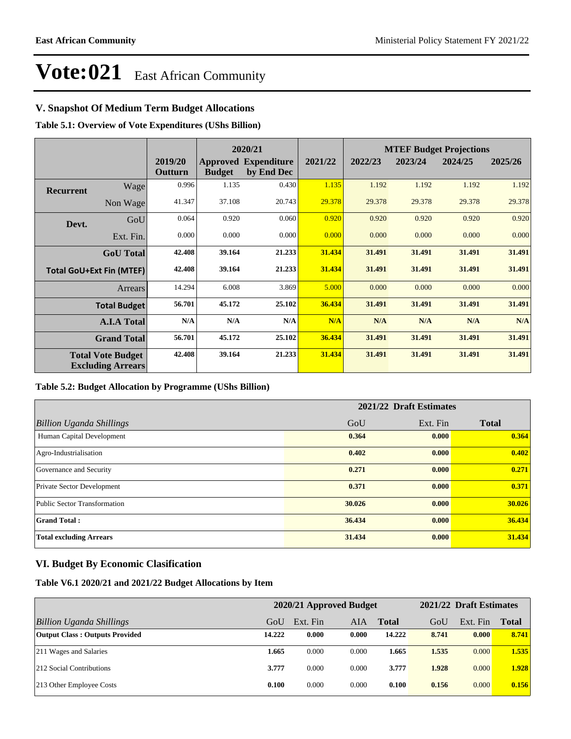## **V. Snapshot Of Medium Term Budget Allocations**

**Table 5.1: Overview of Vote Expenditures (UShs Billion)**

|                  |                                                      |                    |               | 2020/21                                   |         | <b>MTEF Budget Projections</b> |         |         |         |
|------------------|------------------------------------------------------|--------------------|---------------|-------------------------------------------|---------|--------------------------------|---------|---------|---------|
|                  |                                                      | 2019/20<br>Outturn | <b>Budget</b> | <b>Approved Expenditure</b><br>by End Dec | 2021/22 | 2022/23                        | 2023/24 | 2024/25 | 2025/26 |
| <b>Recurrent</b> | Wage                                                 | 0.996              | 1.135         | 0.430                                     | 1.135   | 1.192                          | 1.192   | 1.192   | 1.192   |
|                  | Non Wage                                             | 41.347             | 37.108        | 20.743                                    | 29.378  | 29.378                         | 29.378  | 29.378  | 29.378  |
| Devt.            | GoU                                                  | 0.064              | 0.920         | 0.060                                     | 0.920   | 0.920                          | 0.920   | 0.920   | 0.920   |
|                  | Ext. Fin.                                            | 0.000              | 0.000         | 0.000                                     | 0.000   | 0.000                          | 0.000   | 0.000   | 0.000   |
|                  | <b>GoU</b> Total                                     | 42.408             | 39.164        | 21.233                                    | 31.434  | 31.491                         | 31.491  | 31.491  | 31.491  |
|                  | <b>Total GoU+Ext Fin (MTEF)</b>                      | 42.408             | 39.164        | 21.233                                    | 31.434  | 31.491                         | 31.491  | 31.491  | 31.491  |
|                  | Arrears                                              | 14.294             | 6.008         | 3.869                                     | 5.000   | 0.000                          | 0.000   | 0.000   | 0.000   |
|                  | <b>Total Budget</b>                                  | 56.701             | 45.172        | 25.102                                    | 36.434  | 31.491                         | 31.491  | 31.491  | 31.491  |
|                  | <b>A.I.A Total</b>                                   | N/A                | N/A           | N/A                                       | N/A     | N/A                            | N/A     | N/A     | N/A     |
|                  | <b>Grand Total</b>                                   | 56.701             | 45.172        | 25.102                                    | 36.434  | 31.491                         | 31.491  | 31.491  | 31.491  |
|                  | <b>Total Vote Budget</b><br><b>Excluding Arrears</b> | 42.408             | 39.164        | 21.233                                    | 31.434  | 31.491                         | 31.491  | 31.491  | 31.491  |

#### **Table 5.2: Budget Allocation by Programme (UShs Billion)**

|                                   | 2021/22 Draft Estimates |          |              |  |  |  |
|-----------------------------------|-------------------------|----------|--------------|--|--|--|
| <b>Billion Uganda Shillings</b>   | GoU                     | Ext. Fin | <b>Total</b> |  |  |  |
| Human Capital Development         | 0.364                   | 0.000    | 0.364        |  |  |  |
| Agro-Industrialisation            | 0.402                   | 0.000    | 0.402        |  |  |  |
| Governance and Security           | 0.271                   | 0.000    | 0.271        |  |  |  |
| <b>Private Sector Development</b> | 0.371                   | 0.000    | 0.371        |  |  |  |
| Public Sector Transformation      | 30.026                  | 0.000    | 30.026       |  |  |  |
| <b>Grand Total:</b>               | 36.434                  | 0.000    | 36.434       |  |  |  |
| <b>Total excluding Arrears</b>    | 31.434                  | 0.000    | 31.434       |  |  |  |

### **VI. Budget By Economic Clasification**

**Table V6.1 2020/21 and 2021/22 Budget Allocations by Item**

|                                       | 2020/21 Approved Budget |          |       |              | 2021/22 Draft Estimates |          |       |
|---------------------------------------|-------------------------|----------|-------|--------------|-------------------------|----------|-------|
| Billion Uganda Shillings              | GoU                     | Ext. Fin | AIA   | <b>Total</b> | GoU                     | Ext. Fin | Total |
| <b>Output Class: Outputs Provided</b> | 14.222                  | 0.000    | 0.000 | 14.222       | 8.741                   | 0.000    | 8.741 |
| 211 Wages and Salaries                | 1.665                   | 0.000    | 0.000 | 1.665        | 1.535                   | 0.000    | 1.535 |
| 212 Social Contributions              | 3.777                   | 0.000    | 0.000 | 3.777        | 1.928                   | 0.000    | 1.928 |
| 213 Other Employee Costs              | 0.100                   | 0.000    | 0.000 | 0.100        | 0.156                   | 0.000    | 0.156 |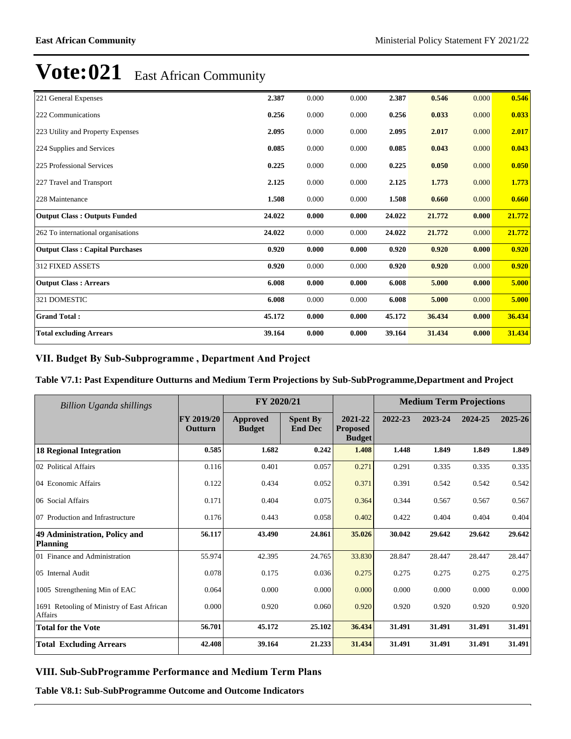| 221 General Expenses                   | 2.387  | 0.000 | 0.000 | 2.387  | 0.546  | 0.000 | 0.546  |
|----------------------------------------|--------|-------|-------|--------|--------|-------|--------|
| 222 Communications                     | 0.256  | 0.000 | 0.000 | 0.256  | 0.033  | 0.000 | 0.033  |
| 223 Utility and Property Expenses      | 2.095  | 0.000 | 0.000 | 2.095  | 2.017  | 0.000 | 2.017  |
| 224 Supplies and Services              | 0.085  | 0.000 | 0.000 | 0.085  | 0.043  | 0.000 | 0.043  |
| 225 Professional Services              | 0.225  | 0.000 | 0.000 | 0.225  | 0.050  | 0.000 | 0.050  |
| 227 Travel and Transport               | 2.125  | 0.000 | 0.000 | 2.125  | 1.773  | 0.000 | 1.773  |
| 228 Maintenance                        | 1.508  | 0.000 | 0.000 | 1.508  | 0.660  | 0.000 | 0.660  |
| <b>Output Class: Outputs Funded</b>    | 24.022 | 0.000 | 0.000 | 24.022 | 21.772 | 0.000 | 21.772 |
| 262 To international organisations     | 24.022 | 0.000 | 0.000 | 24.022 | 21.772 | 0.000 | 21.772 |
| <b>Output Class: Capital Purchases</b> | 0.920  | 0.000 | 0.000 | 0.920  | 0.920  | 0.000 | 0.920  |
| <b>312 FIXED ASSETS</b>                | 0.920  | 0.000 | 0.000 | 0.920  | 0.920  | 0.000 | 0.920  |
| <b>Output Class: Arrears</b>           | 6.008  | 0.000 | 0.000 | 6.008  | 5.000  | 0.000 | 5.000  |
| 321 DOMESTIC                           | 6.008  | 0.000 | 0.000 | 6.008  | 5.000  | 0.000 | 5.000  |
| <b>Grand Total:</b>                    | 45.172 | 0.000 | 0.000 | 45.172 | 36.434 | 0.000 | 36.434 |
| <b>Total excluding Arrears</b>         | 39.164 | 0.000 | 0.000 | 39.164 | 31.434 | 0.000 | 31.434 |

### VII. Budget By Sub-Subprogramme, Department And Project

### **Table V7.1: Past Expenditure Outturns and Medium Term Projections by Sub-SubProgramme,Department and Project**

| Billion Uganda shillings                              |                       | FY 2020/21                       |                                   |                                             | <b>Medium Term Projections</b> |         |         |         |
|-------------------------------------------------------|-----------------------|----------------------------------|-----------------------------------|---------------------------------------------|--------------------------------|---------|---------|---------|
|                                                       | FY 2019/20<br>Outturn | <b>Approved</b><br><b>Budget</b> | <b>Spent By</b><br><b>End Dec</b> | 2021-22<br><b>Proposed</b><br><b>Budget</b> | 2022-23                        | 2023-24 | 2024-25 | 2025-26 |
| <b>18 Regional Integration</b>                        | 0.585                 | 1.682                            | 0.242                             | 1.408                                       | 1.448                          | 1.849   | 1.849   | 1.849   |
| 02 Political Affairs                                  | 0.116                 | 0.401                            | 0.057                             | 0.271                                       | 0.291                          | 0.335   | 0.335   | 0.335   |
| 04 Economic Affairs                                   | 0.122                 | 0.434                            | 0.052                             | 0.371                                       | 0.391                          | 0.542   | 0.542   | 0.542   |
| 06 Social Affairs                                     | 0.171                 | 0.404                            | 0.075                             | 0.364                                       | 0.344                          | 0.567   | 0.567   | 0.567   |
| 07 Production and Infrastructure                      | 0.176                 | 0.443                            | 0.058                             | 0.402                                       | 0.422                          | 0.404   | 0.404   | 0.404   |
| 49 Administration, Policy and<br><b>Planning</b>      | 56.117                | 43.490                           | 24.861                            | 35.026                                      | 30.042                         | 29.642  | 29.642  | 29.642  |
| 01 Finance and Administration                         | 55.974                | 42.395                           | 24.765                            | 33.830                                      | 28.847                         | 28.447  | 28.447  | 28.447  |
| 05 Internal Audit                                     | 0.078                 | 0.175                            | 0.036                             | 0.275                                       | 0.275                          | 0.275   | 0.275   | 0.275   |
| 1005 Strengthening Min of EAC                         | 0.064                 | 0.000                            | 0.000                             | 0.000                                       | 0.000                          | 0.000   | 0.000   | 0.000   |
| 1691 Retooling of Ministry of East African<br>Affairs | 0.000                 | 0.920                            | 0.060                             | 0.920                                       | 0.920                          | 0.920   | 0.920   | 0.920   |
| <b>Total for the Vote</b>                             | 56.701                | 45.172                           | 25.102                            | 36.434                                      | 31.491                         | 31.491  | 31.491  | 31.491  |
| <b>Total Excluding Arrears</b>                        | 42.408                | 39.164                           | 21.233                            | 31.434                                      | 31.491                         | 31.491  | 31.491  | 31.491  |

### VIII. Sub-SubProgramme Performance and Medium Term Plans

**Table V8.1: Sub-SubProgramme Outcome and Outcome Indicators**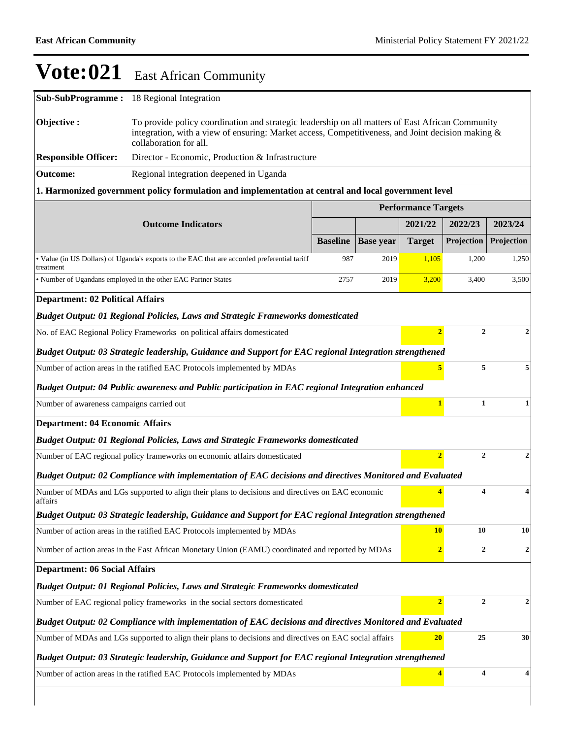| Sub-SubProgramme:                       | 18 Regional Integration                                                                                                                                                                                                         |                 |                  |                            |                         |                  |  |  |  |  |
|-----------------------------------------|---------------------------------------------------------------------------------------------------------------------------------------------------------------------------------------------------------------------------------|-----------------|------------------|----------------------------|-------------------------|------------------|--|--|--|--|
| Objective:                              | To provide policy coordination and strategic leadership on all matters of East African Community<br>integration, with a view of ensuring: Market access, Competitiveness, and Joint decision making &<br>collaboration for all. |                 |                  |                            |                         |                  |  |  |  |  |
| <b>Responsible Officer:</b>             | Director - Economic, Production & Infrastructure                                                                                                                                                                                |                 |                  |                            |                         |                  |  |  |  |  |
| <b>Outcome:</b>                         | Regional integration deepened in Uganda                                                                                                                                                                                         |                 |                  |                            |                         |                  |  |  |  |  |
|                                         | 1. Harmonized government policy formulation and implementation at central and local government level                                                                                                                            |                 |                  |                            |                         |                  |  |  |  |  |
|                                         |                                                                                                                                                                                                                                 |                 |                  | <b>Performance Targets</b> |                         |                  |  |  |  |  |
|                                         | <b>Outcome Indicators</b>                                                                                                                                                                                                       |                 |                  | 2021/22                    | 2022/23                 | 2023/24          |  |  |  |  |
|                                         |                                                                                                                                                                                                                                 | <b>Baseline</b> | <b>Base year</b> | <b>Target</b>              | Projection              | Projection       |  |  |  |  |
| treatment                               | • Value (in US Dollars) of Uganda's exports to the EAC that are accorded preferential tariff                                                                                                                                    | 987             | 2019             | 1,105                      | 1,200                   | 1,250            |  |  |  |  |
|                                         | • Number of Ugandans employed in the other EAC Partner States                                                                                                                                                                   | 2757            | 2019             | 3,200                      | 3,400                   | 3,500            |  |  |  |  |
| <b>Department: 02 Political Affairs</b> |                                                                                                                                                                                                                                 |                 |                  |                            |                         |                  |  |  |  |  |
|                                         | <b>Budget Output: 01 Regional Policies, Laws and Strategic Frameworks domesticated</b>                                                                                                                                          |                 |                  |                            |                         |                  |  |  |  |  |
|                                         | No. of EAC Regional Policy Frameworks on political affairs domesticated                                                                                                                                                         |                 |                  | $\overline{2}$             | $\mathbf{2}$            | $\overline{2}$   |  |  |  |  |
|                                         | Budget Output: 03 Strategic leadership, Guidance and Support for EAC regional Integration strengthened                                                                                                                          |                 |                  |                            |                         |                  |  |  |  |  |
|                                         | Number of action areas in the ratified EAC Protocols implemented by MDAs                                                                                                                                                        |                 |                  | 5                          | 5                       | 5                |  |  |  |  |
|                                         | Budget Output: 04 Public awareness and Public participation in EAC regional Integration enhanced                                                                                                                                |                 |                  |                            |                         |                  |  |  |  |  |
|                                         | $\mathbf{1}$<br>1<br>Number of awareness campaigns carried out                                                                                                                                                                  |                 |                  |                            |                         |                  |  |  |  |  |
| <b>Department: 04 Economic Affairs</b>  |                                                                                                                                                                                                                                 |                 |                  |                            |                         |                  |  |  |  |  |
|                                         | <b>Budget Output: 01 Regional Policies, Laws and Strategic Frameworks domesticated</b>                                                                                                                                          |                 |                  |                            |                         |                  |  |  |  |  |
|                                         | Number of EAC regional policy frameworks on economic affairs domesticated                                                                                                                                                       |                 |                  | $\overline{2}$             | $\mathbf{2}$            | $\overline{2}$   |  |  |  |  |
|                                         | Budget Output: 02 Compliance with implementation of EAC decisions and directives Monitored and Evaluated                                                                                                                        |                 |                  |                            |                         |                  |  |  |  |  |
| affairs                                 | Number of MDAs and LGs supported to align their plans to decisions and directives on EAC economic                                                                                                                               |                 |                  |                            | $\overline{\mathbf{4}}$ | 4                |  |  |  |  |
|                                         | Budget Output: 03 Strategic leadership, Guidance and Support for EAC regional Integration strengthened                                                                                                                          |                 |                  |                            |                         |                  |  |  |  |  |
|                                         | Number of action areas in the ratified EAC Protocols implemented by MDAs                                                                                                                                                        |                 |                  | <b>10</b>                  | 10                      | 10               |  |  |  |  |
|                                         | Number of action areas in the East African Monetary Union (EAMU) coordinated and reported by MDAs                                                                                                                               |                 |                  | $\overline{2}$             | 2                       | $\boldsymbol{2}$ |  |  |  |  |
| <b>Department: 06 Social Affairs</b>    |                                                                                                                                                                                                                                 |                 |                  |                            |                         |                  |  |  |  |  |
|                                         | Budget Output: 01 Regional Policies, Laws and Strategic Frameworks domesticated                                                                                                                                                 |                 |                  |                            |                         |                  |  |  |  |  |
|                                         | Number of EAC regional policy frameworks in the social sectors domesticated                                                                                                                                                     |                 |                  | $\overline{2}$             | $\overline{2}$          | $\boldsymbol{2}$ |  |  |  |  |
|                                         | Budget Output: 02 Compliance with implementation of EAC decisions and directives Monitored and Evaluated                                                                                                                        |                 |                  |                            |                         |                  |  |  |  |  |
|                                         | Number of MDAs and LGs supported to align their plans to decisions and directives on EAC social affairs                                                                                                                         |                 |                  | 20                         | 25                      | 30               |  |  |  |  |
|                                         | Budget Output: 03 Strategic leadership, Guidance and Support for EAC regional Integration strengthened                                                                                                                          |                 |                  |                            |                         |                  |  |  |  |  |
|                                         | Number of action areas in the ratified EAC Protocols implemented by MDAs                                                                                                                                                        |                 |                  | $\overline{\mathbf{4}}$    | 4                       | 4                |  |  |  |  |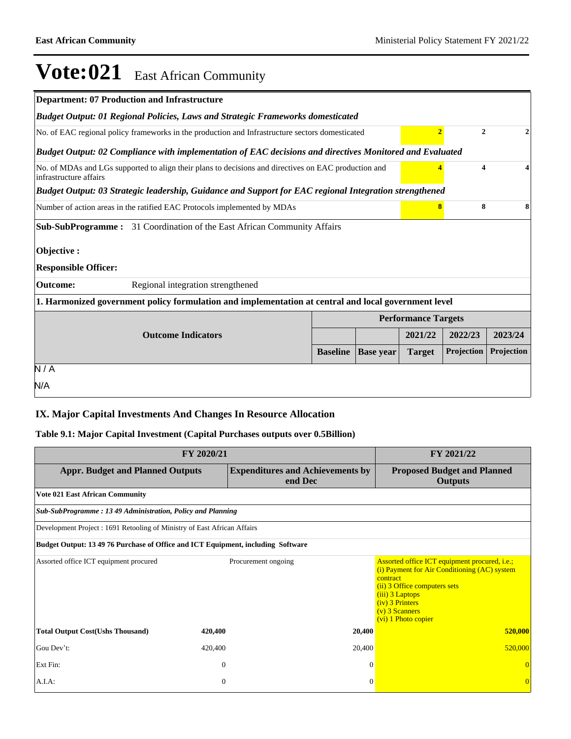| <b>Department: 07 Production and Infrastructure</b>                                                                               |                 |                  |                            |            |            |  |  |  |  |  |
|-----------------------------------------------------------------------------------------------------------------------------------|-----------------|------------------|----------------------------|------------|------------|--|--|--|--|--|
| <b>Budget Output: 01 Regional Policies, Laws and Strategic Frameworks domesticated</b>                                            |                 |                  |                            |            |            |  |  |  |  |  |
| $\overline{2}$<br>No. of EAC regional policy frameworks in the production and Infrastructure sectors domesticated<br>$\mathbf{2}$ |                 |                  |                            |            |            |  |  |  |  |  |
| Budget Output: 02 Compliance with implementation of EAC decisions and directives Monitored and Evaluated                          |                 |                  |                            |            |            |  |  |  |  |  |
| No. of MDAs and LGs supported to align their plans to decisions and directives on EAC production and<br>infrastructure affairs    |                 |                  |                            | 4          | 4          |  |  |  |  |  |
| Budget Output: 03 Strategic leadership, Guidance and Support for EAC regional Integration strengthened                            |                 |                  |                            |            |            |  |  |  |  |  |
| Number of action areas in the ratified EAC Protocols implemented by MDAs                                                          |                 |                  | 8                          | 8          | 8          |  |  |  |  |  |
| <b>Sub-SubProgramme:</b> 31 Coordination of the East African Community Affairs                                                    |                 |                  |                            |            |            |  |  |  |  |  |
| Objective:<br><b>Responsible Officer:</b>                                                                                         |                 |                  |                            |            |            |  |  |  |  |  |
| <b>Outcome:</b><br>Regional integration strengthened                                                                              |                 |                  |                            |            |            |  |  |  |  |  |
| 1. Harmonized government policy formulation and implementation at central and local government level                              |                 |                  |                            |            |            |  |  |  |  |  |
|                                                                                                                                   |                 |                  | <b>Performance Targets</b> |            |            |  |  |  |  |  |
| <b>Outcome Indicators</b>                                                                                                         |                 |                  | 2021/22                    | 2022/23    | 2023/24    |  |  |  |  |  |
|                                                                                                                                   | <b>Baseline</b> | <b>Base year</b> | <b>Target</b>              | Projection | Projection |  |  |  |  |  |
| N/A                                                                                                                               |                 |                  |                            |            |            |  |  |  |  |  |
| N/A                                                                                                                               |                 |                  |                            |            |            |  |  |  |  |  |
|                                                                                                                                   |                 |                  |                            |            |            |  |  |  |  |  |

### **IX. Major Capital Investments And Changes In Resource Allocation**

### **Table 9.1: Major Capital Investment (Capital Purchases outputs over 0.5Billion)**

| FY 2020/21                                                                       | FY 2021/22   |                                                    |                                                                                                                                                                                                                                    |
|----------------------------------------------------------------------------------|--------------|----------------------------------------------------|------------------------------------------------------------------------------------------------------------------------------------------------------------------------------------------------------------------------------------|
| <b>Appr. Budget and Planned Outputs</b>                                          |              | <b>Expenditures and Achievements by</b><br>end Dec | <b>Proposed Budget and Planned</b><br><b>Outputs</b>                                                                                                                                                                               |
| <b>Vote 021 East African Community</b>                                           |              |                                                    |                                                                                                                                                                                                                                    |
| Sub-SubProgramme: 13 49 Administration, Policy and Planning                      |              |                                                    |                                                                                                                                                                                                                                    |
| Development Project : 1691 Retooling of Ministry of East African Affairs         |              |                                                    |                                                                                                                                                                                                                                    |
| Budget Output: 13 49 76 Purchase of Office and ICT Equipment, including Software |              |                                                    |                                                                                                                                                                                                                                    |
| Assorted office ICT equipment procured                                           |              | Procurement ongoing                                | Assorted office ICT equipment procured, <i>i.e.</i> ;<br>(i) Payment for Air Conditioning (AC) system<br>contract<br>(ii) 3 Office computers sets<br>(iii) 3 Laptops<br>(iv) 3 Printers<br>$(v)$ 3 Scanners<br>(vi) 1 Photo copier |
| <b>Total Output Cost(Ushs Thousand)</b>                                          | 420,400      | 20,400                                             | 520,000                                                                                                                                                                                                                            |
| Gou Dev't:                                                                       | 420,400      | 20,400                                             | 520,000                                                                                                                                                                                                                            |
| Ext Fin:                                                                         | $\theta$     | $\Omega$                                           |                                                                                                                                                                                                                                    |
| A.I.A.                                                                           | $\mathbf{0}$ | $\Omega$                                           | $\Omega$                                                                                                                                                                                                                           |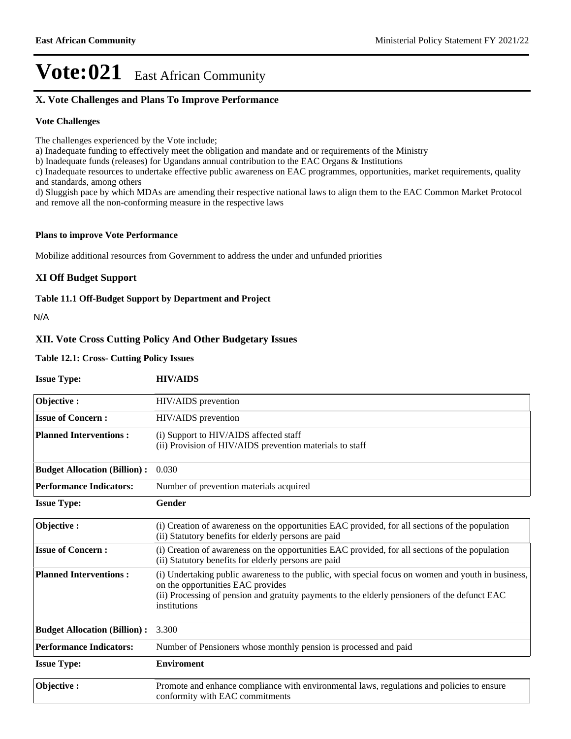## **X. Vote Challenges and Plans To Improve Performance**

### **Vote Challenges**

The challenges experienced by the Vote include;

a) Inadequate funding to effectively meet the obligation and mandate and or requirements of the Ministry

b) Inadequate funds (releases) for Ugandans annual contribution to the EAC Organs & Institutions

c) Inadequate resources to undertake effective public awareness on EAC programmes, opportunities, market requirements, quality and standards, among others

d) Sluggish pace by which MDAs are amending their respective national laws to align them to the EAC Common Market Protocol and remove all the non-conforming measure in the respective laws

#### **Plans to improve Vote Performance**

Mobilize additional resources from Government to address the under and unfunded priorities

### **XI Off Budget Support**

#### **Table 11.1 Off-Budget Support by Department and Project**

N/A

### **XII. Vote Cross Cutting Policy And Other Budgetary Issues**

### **Table 12.1: Cross- Cutting Policy Issues**

| <b>Issue Type:</b>                  | <b>HIV/AIDS</b>                                                                                                                                                                                                                                          |
|-------------------------------------|----------------------------------------------------------------------------------------------------------------------------------------------------------------------------------------------------------------------------------------------------------|
| Objective:                          | HIV/AIDS prevention                                                                                                                                                                                                                                      |
| <b>Issue of Concern:</b>            | HIV/AIDS prevention                                                                                                                                                                                                                                      |
| <b>Planned Interventions:</b>       | (i) Support to HIV/AIDS affected staff<br>(ii) Provision of HIV/AIDS prevention materials to staff                                                                                                                                                       |
| <b>Budget Allocation (Billion):</b> | 0.030                                                                                                                                                                                                                                                    |
| <b>Performance Indicators:</b>      | Number of prevention materials acquired                                                                                                                                                                                                                  |
| <b>Issue Type:</b>                  | Gender                                                                                                                                                                                                                                                   |
| Objective:                          | (i) Creation of awareness on the opportunities EAC provided, for all sections of the population<br>(ii) Statutory benefits for elderly persons are paid                                                                                                  |
| <b>Issue of Concern:</b>            | (i) Creation of awareness on the opportunities EAC provided, for all sections of the population<br>(ii) Statutory benefits for elderly persons are paid                                                                                                  |
| <b>Planned Interventions:</b>       | (i) Undertaking public awareness to the public, with special focus on women and youth in business,<br>on the opportunities EAC provides<br>(ii) Processing of pension and gratuity payments to the elderly pensioners of the defunct EAC<br>institutions |
| <b>Budget Allocation (Billion):</b> | 3.300                                                                                                                                                                                                                                                    |
| <b>Performance Indicators:</b>      | Number of Pensioners whose monthly pension is processed and paid                                                                                                                                                                                         |
| <b>Issue Type:</b>                  | <b>Enviroment</b>                                                                                                                                                                                                                                        |
| Objective:                          | Promote and enhance compliance with environmental laws, regulations and policies to ensure<br>conformity with EAC commitments                                                                                                                            |